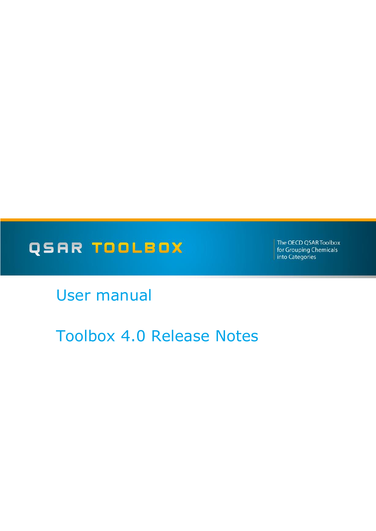# QSAR TOOLBOX

The OECD QSAR Toolbox for Grouping Chemicals into Categories

User manual

Toolbox 4.0 Release Notes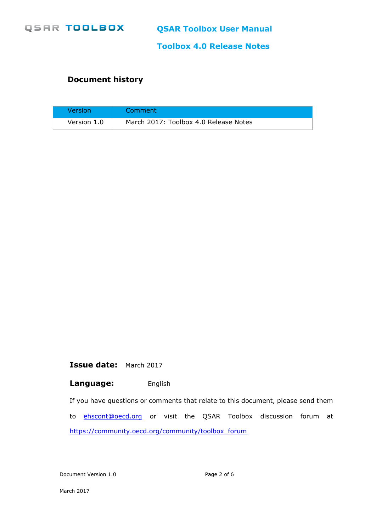

**Toolbox 4.0 Release Notes**

### **Document history**

| Version     | Comment                               |
|-------------|---------------------------------------|
| Version 1.0 | March 2017: Toolbox 4.0 Release Notes |

**Issue date:** March 2017

#### **Language:** English

If you have questions or comments that relate to this document, please send them to **[ehscont@oecd.org](mailto:ehscont@oecd.org)** or visit the QSAR Toolbox discussion forum at [https://community.oecd.org/community/toolbox\\_forum](https://community.oecd.org/community/toolbox_forum)

Document Version 1.0 **Page 2 of 6**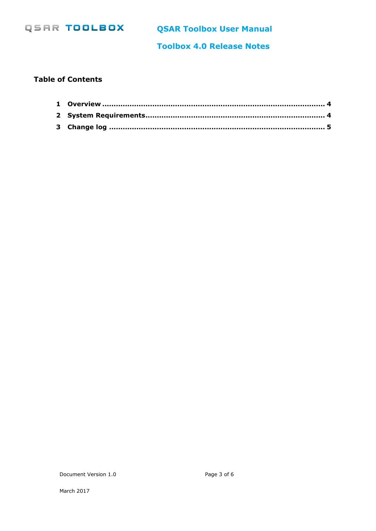

**QSAR Toolbox User Manual**

**Toolbox 4.0 Release Notes**

#### **Table of Contents**

Document Version 1.0 Page 3 of 6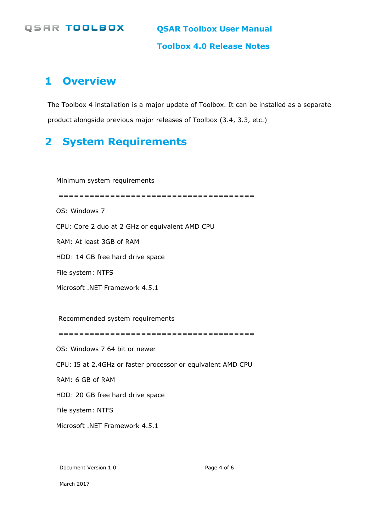### **QSAR TOOLBOX**

**QSAR Toolbox User Manual**

**Toolbox 4.0 Release Notes**

# <span id="page-3-0"></span>**1 Overview**

The Toolbox 4 installation is a major update of Toolbox. It can be installed as a separate product alongside previous major releases of Toolbox (3.4, 3.3, etc.)

# <span id="page-3-1"></span>**2 System Requirements**

Minimum system requirements

======================================

OS: Windows 7

CPU: Core 2 duo at 2 GHz or equivalent AMD CPU

RAM: At least 3GB of RAM

HDD: 14 GB free hard drive space

File system: NTFS

Microsoft .NET Framework 4.5.1

Recommended system requirements

======================================

OS: Windows 7 64 bit or newer

CPU: I5 at 2.4GHz or faster processor or equivalent AMD CPU

RAM: 6 GB of RAM

HDD: 20 GB free hard drive space

File system: NTFS

Microsoft .NET Framework 4.5.1

Document Version 1.0 Page 4 of 6

March 2017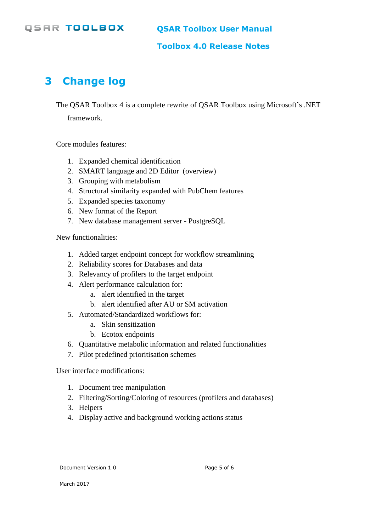## **QSAR TOOLBOX**

**Toolbox 4.0 Release Notes**

# <span id="page-4-0"></span>**3 Change log**

The QSAR Toolbox 4 is a complete rewrite of QSAR Toolbox using Microsoft's .NET

framework.

Core modules features:

- 1. Expanded chemical identification
- 2. SMART language and 2D Editor (overview)
- 3. Grouping with metabolism
- 4. Structural similarity expanded with PubChem features
- 5. Expanded species taxonomy
- 6. New format of the Report
- 7. New database management server PostgreSQL

New functionalities:

- 1. Added target endpoint concept for workflow streamlining
- 2. Reliability scores for Databases and data
- 3. Relevancy of profilers to the target endpoint
- 4. Alert performance calculation for:
	- a. alert identified in the target
	- b. alert identified after AU or SM activation
- 5. Automated/Standardized workflows for:
	- a. Skin sensitization
	- b. Ecotox endpoints
- 6. Quantitative metabolic information and related functionalities
- 7. Pilot predefined prioritisation schemes

User interface modifications:

- 1. Document tree manipulation
- 2. Filtering/Sorting/Coloring of resources (profilers and databases)
- 3. Helpers
- 4. Display active and background working actions status

Document Version 1.0 **Page 5 of 6**